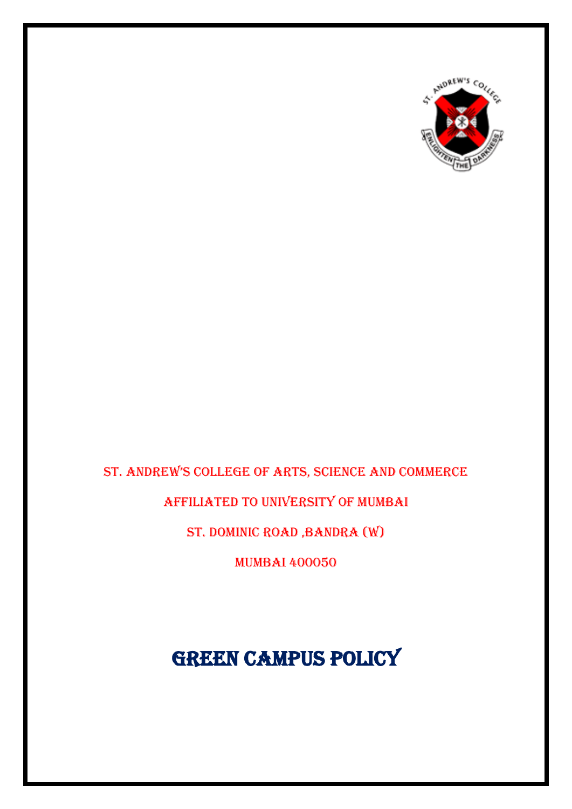

### ST. ANDREW'S COLLEGE OF ARTS, SCIENCE AND COMMERCE

Affiliated to University of Mumbai

St. Dominic Road ,Bandra (W)

Mumbai 400050

**GREEN CAMPUS POLICY**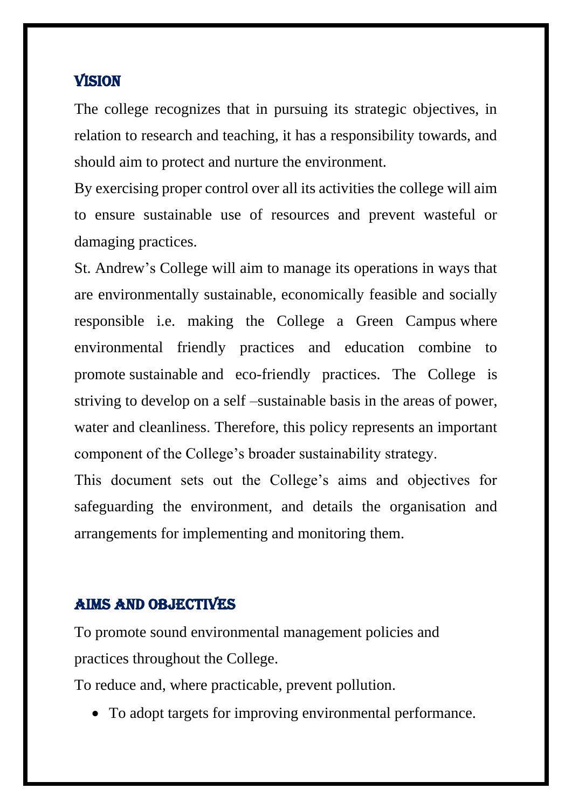#### **VISION**

The college recognizes that in pursuing its strategic objectives, in relation to research and teaching, it has a responsibility towards, and should aim to protect and nurture the environment.

By exercising proper control over all its activities the college will aim to ensure sustainable use of resources and prevent wasteful or damaging practices.

St. Andrew's College will aim to manage its operations in ways that are environmentally sustainable, economically feasible and socially responsible i.e. making the College a Green Campus where environmental friendly practices and education combine to promote sustainable and eco-friendly practices. The College is striving to develop on a self –sustainable basis in the areas of power, water and cleanliness. Therefore, this policy represents an important component of the College's broader sustainability strategy.

This document sets out the College's aims and objectives for safeguarding the environment, and details the organisation and arrangements for implementing and monitoring them.

#### AIMS AND OBJECTIVES

To promote sound environmental management policies and practices throughout the College.

To reduce and, where practicable, prevent pollution.

• To adopt targets for improving environmental performance.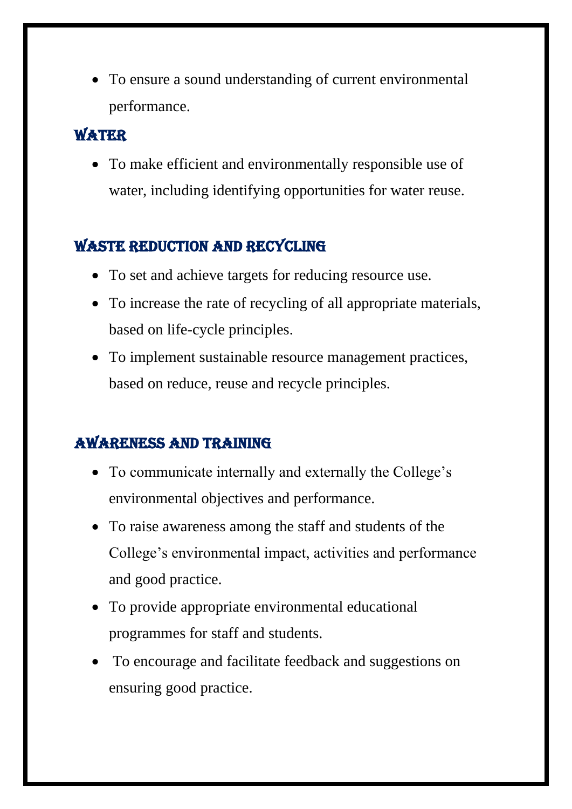• To ensure a sound understanding of current environmental performance.

### **WATER**

• To make efficient and environmentally responsible use of water, including identifying opportunities for water reuse.

## WASTE REDUCTION AND RECYCLING

- To set and achieve targets for reducing resource use.
- To increase the rate of recycling of all appropriate materials, based on life-cycle principles.
- To implement sustainable resource management practices, based on reduce, reuse and recycle principles.

# Awareness and Training

- To communicate internally and externally the College's environmental objectives and performance.
- To raise awareness among the staff and students of the College's environmental impact, activities and performance and good practice.
- To provide appropriate environmental educational programmes for staff and students.
- To encourage and facilitate feedback and suggestions on ensuring good practice.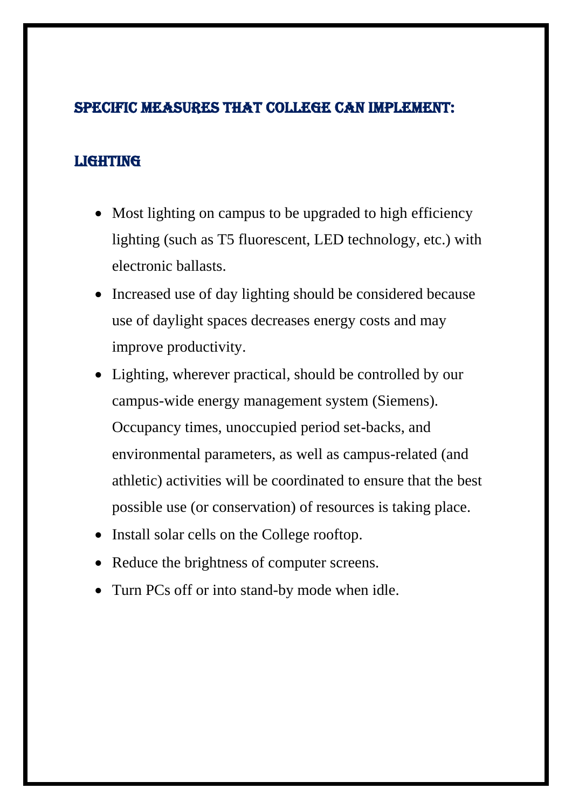#### Specific Measures that college can implement:

#### **LIGHTING**

- Most lighting on campus to be upgraded to high efficiency lighting (such as T5 fluorescent, LED technology, etc.) with electronic ballasts.
- Increased use of day lighting should be considered because use of daylight spaces decreases energy costs and may improve productivity.
- Lighting, wherever practical, should be controlled by our campus-wide energy management system (Siemens). Occupancy times, unoccupied period set-backs, and environmental parameters, as well as campus-related (and athletic) activities will be coordinated to ensure that the best possible use (or conservation) of resources is taking place.
- Install solar cells on the College rooftop.
- Reduce the brightness of computer screens.
- Turn PCs off or into stand-by mode when idle.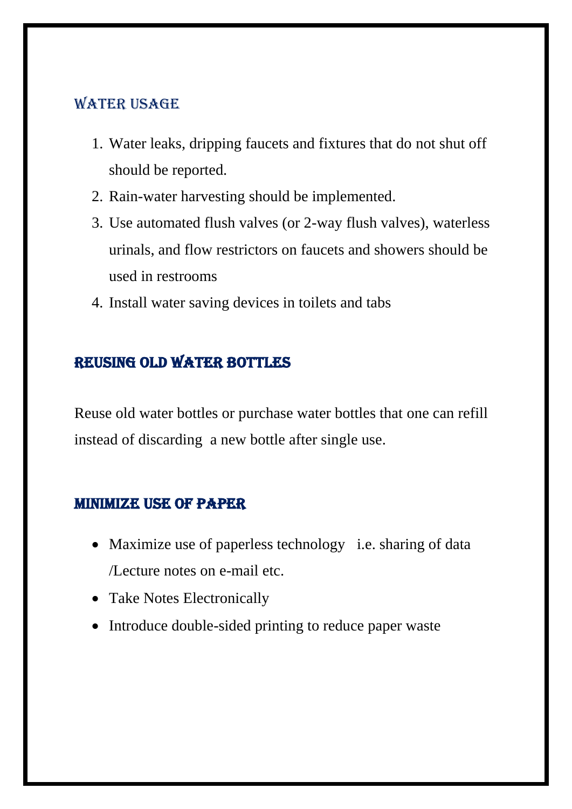#### **WATER USAGE**

- 1. Water leaks, dripping faucets and fixtures that do not shut off should be reported.
- 2. Rain-water harvesting should be implemented.
- 3. Use automated flush valves (or 2-way flush valves), waterless urinals, and flow restrictors on faucets and showers should be used in restrooms
- 4. Install water saving devices in toilets and tabs

## Reusing old water bottles

Reuse old water bottles or purchase water bottles that one can refill instead of discarding a new bottle after single use.

#### Minimize use of paper

- Maximize use of paperless technology i.e. sharing of data /Lecture notes on e-mail etc.
- Take Notes Electronically
- Introduce double-sided printing to reduce paper waste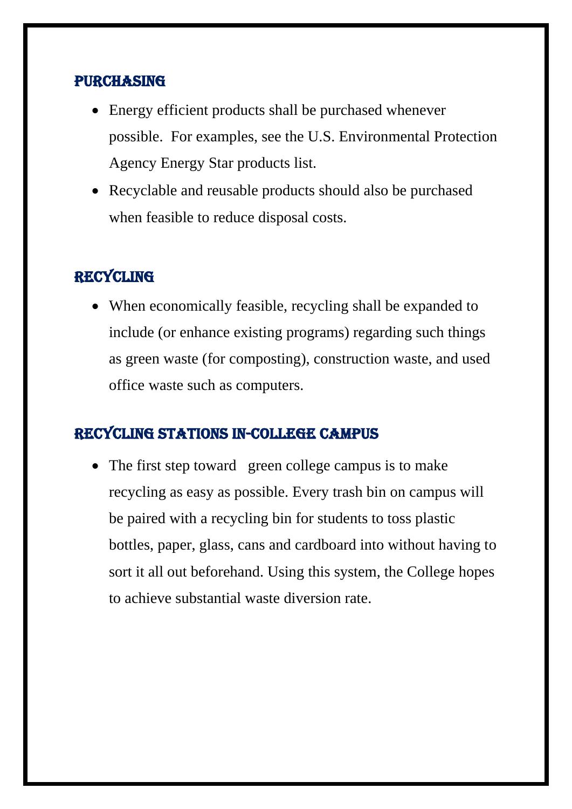#### **PURCHASING**

- Energy efficient products shall be purchased whenever possible. For examples, see the U.S. Environmental Protection Agency Energy Star products list.
- Recyclable and reusable products should also be purchased when feasible to reduce disposal costs.

### **RECYCLING**

• When economically feasible, recycling shall be expanded to include (or enhance existing programs) regarding such things as green waste (for composting), construction waste, and used office waste such as computers.

#### Recycling Stations In-College Campus

• The first step toward green college campus is to make recycling as easy as possible. Every trash bin on campus will be paired with a recycling bin for students to toss plastic bottles, paper, glass, cans and cardboard into without having to sort it all out beforehand. Using this system, the College hopes to achieve substantial waste diversion rate.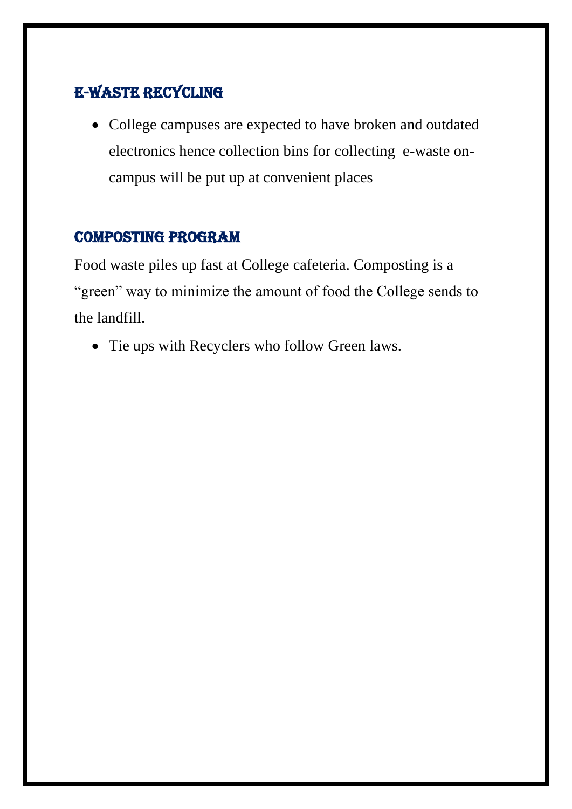### E-Waste Recycling

• College campuses are expected to have broken and outdated electronics hence collection bins for collecting e-waste oncampus will be put up at convenient places

#### Composting Program

Food waste piles up fast at College cafeteria. Composting is a "green" way to minimize the amount of food the College sends to the landfill.

• Tie ups with Recyclers who follow Green laws.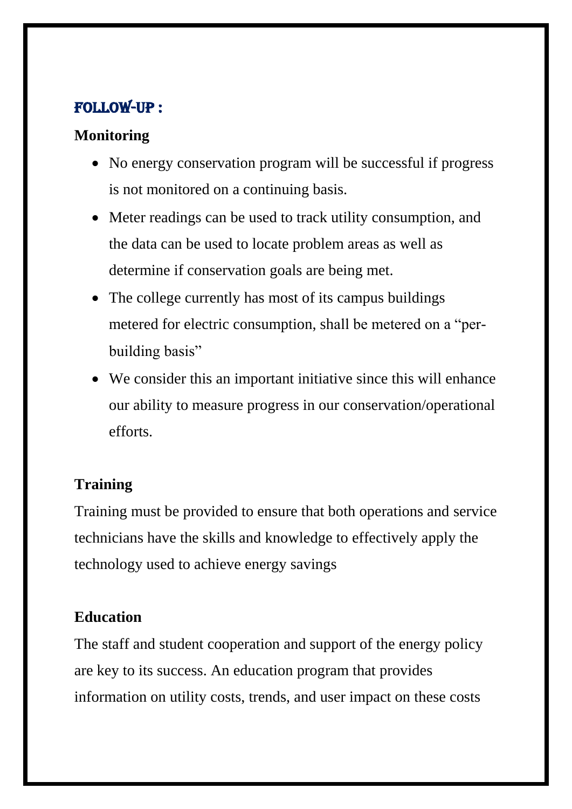### Follow-UP :

#### **Monitoring**

- No energy conservation program will be successful if progress is not monitored on a continuing basis.
- Meter readings can be used to track utility consumption, and the data can be used to locate problem areas as well as determine if conservation goals are being met.
- The college currently has most of its campus buildings metered for electric consumption, shall be metered on a "perbuilding basis"
- We consider this an important initiative since this will enhance our ability to measure progress in our conservation/operational efforts.

## **Training**

Training must be provided to ensure that both operations and service technicians have the skills and knowledge to effectively apply the technology used to achieve energy savings

#### **Education**

The staff and student cooperation and support of the energy policy are key to its success. An education program that provides information on utility costs, trends, and user impact on these costs